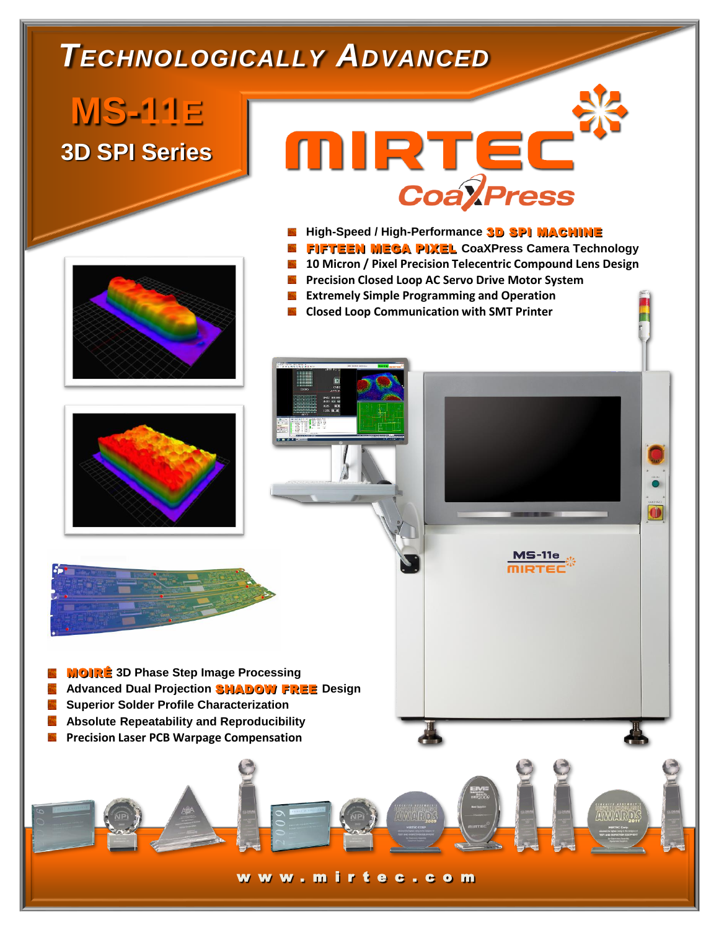## *TECHNOLOGICALLY ADVANCED*

**MS-11E 3D SPI Series**

## **NIRTEC**<br>CoayPress

- **High-Speed / High-Performance** 3D SPI MACHINE
- FIFTEEN MEGA PIXEL **CoaXPress Camera Technology**
- **10 Micron / Pixel Precision Telecentric Compound Lens Design**
- **Precision Closed Loop AC Servo Drive Motor System**
- **Extremely Simple Programming and Operation**
- **E** Closed Loop Communication with SMT Printer